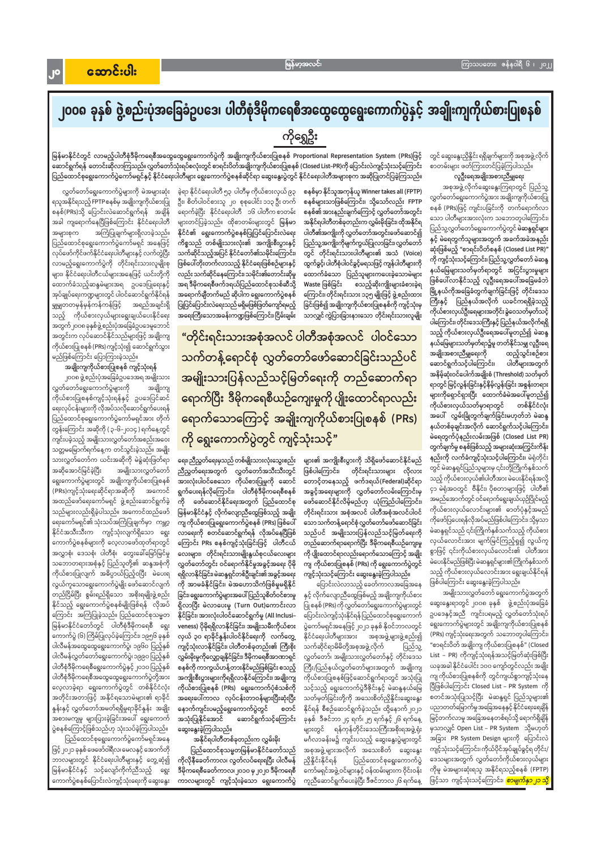## ၂၀၀၈ ခုနှစ် ဖွဲ့စည်းပုံအခြေခံဥပဒေ၊ ပါတီစုံဒီမိုကရေစီအထွေထွေရွေးကောက်ပွဲနှင့် အချိုးကျကိုယ်စားပြုစနစ် ကိုရွှေဦး

တွင် ဆွေးနွေးညှိနှိုင်း ရရှိချက်များကို အစုအဖွဲ့ လိုက် စာတမ်းများ ဖတ်ကြားတင်ပြခဲ့ကြပါသည်။

လူဦးရေအချိုးအစားညီမျှရေး

အစုအဖွဲ့ လိုက်ဆွေးနွေးကြရာတွင် ပြည်သူ့ လွှတ်တော်ရွေးကောက်ပွဲအား အချိုးကျကိုယ်စားပြု စနစ် (PRs)ဖြင့် ကျင်းပခြင်းကို တက်ရောက်လာ သော ပါတီများအားလုံးက သဘောတူပါကြောင်း၊ ပြည်သူ့လွှတ်တော်ရွေးကောက်ပွဲတွင် **မဲဆန္ဒရှင်များ** နှင့် မဲရေတွက်သူများအတွက် အခက်အခဲအနည်း ဆုံးဖြစ်မည့် "စာရင်းပိတ်စနစ် (Closed List PR)" ကို ကျင့်သုံးသင့်ကြောင်း၊ပြည်သူ့လွှတ်တော် မဲဆန္ဒ နယ်မြေများသတ်မှတ်ရာတွင် အငြင်းပွားမှုများ ဖြစ်ပေါ်လာနိုင်သည့် လူဦးရေအပေါ်အခြေမခံဘဲ မြို့နယ်ကိုအခြေခံတွက်ချက်ခြင်းဖြင့် တိုင်းဒေသ ကြီးနှင့် ပြည်နယ်အလိုက် ယခင်ကရရှိခဲ့သည့် ကိုယ်စားလှယ်ဦးရေများအတိုင်းခွဲဝေသတ်မှတ်သင့် ပါကြောင်း၊ တိုင်းဒေသကြီးနှင့် ပြည်နယ်အလိုက်ရရှိ သည့် ကိုယ်စားလှယ်ဦးရေအပေါ်မူတည်၍ မဲဆန္ဒ နယ်မြေများသတ်မှတ်ရာ၌မူ တတ်နိုင်သမျှ လူဦးရေ အချိုးအစားညီမျှရေးကို ထည့်သွင်းစဉ်စား ဆောင်ရွက်သင့်ပါကြောင်း၊ ပါတီများအတွက် အနိမ့်ဆုံးဝင်ပေါက်အချိုးစံ (Threshold) သတ်မှတ် ရာတွင် မြင့်လွန်းခြင်းနှင့်နိမ့်လွန်းခြင်း အစွန်းတရား များကိုရှောင်ရှားပြီး ထောက်ခံမဲအပေါ်မူတည်၍ ကိုယ်စားလှယ်သတ်မှာရာတွင် တစ်နိုင်ငံလုံး အပေါ် လွှမ်းခြုံတွက်ချက်ခြင်းမဟုတ်ဘဲ မဲဆန္ဒ နယ်တစ်ခုချင်းအလိုက် ဆောင်ရွက်သင့်ပါကြောင်း၊ မဲရေတွက်ပုံနည်းလမ်းအဖြစ် (Closed List PR) တွက်ချက်မှု စနစ်ဖြစ်သည့် အများဆုံးအကြွင်းကိန်း နည်းကို လက်ခံကျင့်သုံးသင့်ပါကြောင်း၊ မဲရုံတိုင်း တွင် မဲဆန္ဒရှင်ပြည်သူများမှ ၎င်းတို့ကြိုက်နှစ်သက် သည့် ကိုယ်စားလှယ်၏ပါတီအား မဲပေးနိုင်ရန်အလို့ ငှာ မဲရုံအဝတွင် ဗီနိုင်း၊ ပိုစတာများဖြင့် ပါတီ၏ အမည်အောက်တွင် ဝင်ရောက်ရွေးချယ်ယှဉ်ပြိုင်မည့် ကိုယ်စားလှယ်လောင်းများ၏ ဓာတ်ပုံနှင့်အမည် ကိုဖော်ပြပေးရန်လိုအပ်မည်ဖြစ်ပါကြောင်း၊ သို့မှသာ မဲဆန္ဒရှင်သည် ၎င်းကြိုက်နှစ်သက်သည့် ကိုယ်စား လှယ်လောင်းအား မျက်မြင်ကြည့်ရှု၍ လွယ်ကူ စွာဖြင့် ၎င်းကိုယ်စားလှယ်လောင်း၏ ပါတီအား မဲပေးနိုင်မည်ဖြစ်ပြီး မဲဆန္ဒရှင်များ၏ကြိုက်နှစ်သက် သည့် ကိုယ်စားလှယ်လောင်းအား ရွေးချယ်နိုင်ရန် ဖြစ်ပါကြောင်း ဆွေးနွေးခဲ့ကြပါသည်။

အမျိုးသားလွှတ်တော် ရွေးကောက်ပွဲအတွက် ဆွေးနွေးရာတွင် ၂၀၀၈ ခုနှစ် ဖွဲ့စည်းပုံအခြေခံ ဥပဒေနှင့်အညီ ကျင်းပရမည့် လွှတ်တော်သုံးရပ် ရွေးကောက်ပွဲများတွင် အချိုးကျကိုယ်စားပြုစနစ် (PRs) ကျင့်သုံးရေးအတွက် သဘောတူပါကြောင်း၊ "စာရင်းပိတ် အချိုးကျ ကိုယ်စားပြုစနစ်" (Closed သက်ဆိုင်ရာမိမိတို့အစုအဖွဲ့ လိုက် ပြည်သူ့ List – PR) ကိုကျင့်သုံးရန်အသင့်မြတ်ဆုံးဖြစ်ပြီး လွှတ်တော်၊ အမျိုးသားလွှတ်တော်နှင့် တိုင်းဒေသ ယခုအခါ နိုင်ငံပေါင်း ၁၀၀ ကျော်တွင်လည်း အချိုး ကြီး/ပြည်နယ်လွှတ်တော်များအတွက် အချိုးကျ ကျ ကိုယ်စားပြုစနစ်ကို တွင်ကျယ်စွာကျင့်သုံးနေ ကိုယ်စားပြုစနစ်ဖြင့်ဆောင်ရွက်ရာတွင် အသုံးပြု သင့်သည့် ရွေးကောက်ပွဲဒီဇိုင်းနှင့် မဲဆန္ဒနယ်မြေ ပြီဖြစ်ပါကြောင်း Closed List – PR System ကို စတင်အသုံးပြုသင့်ပြီး မဲဆန္ဒရှင် ပြည်သူများ၏ သတ်မှတ်ခြင်းတို့ကို အသေးစိတ်ညှိနိူင်းဆွေးနွေး ပညာတတ်မြောက်မှုအခြေအနေနှင့် နိုင်ငံရေးရေချိန် နိုင်ရန် စီစဉ်ဆောင်ရွက်ခဲ့သည်။ ထို့နောက်၂၀၂၁ ခုနှစ် ဒီဇင်ဘာ ၂၄ ရက်၊ ၂၅ ရက်နှင့် ၂၆ ရက်နေ့ မြင့်တက်လာမှု အခြေအနေတစ်ရပ်သို့ ရောက်ရှိချိန် မှသာလျှင် Open List – PR System သို့မဟုတ် များတွင် ရန်ကုန်တိုင်းဒေသကြီးအစိုးရအဖွဲ့ရုံး အခြား PR System Design များကို ပြောင်းလဲ မင်္ဂလာခန်းမ၌ ကျင်းပသည့် ဆွေးနွေးပွဲများတွင် ကျင့်သုံးသင့်ကြောင်း၊ ကိုယ်ပိုင်အုပ်ချုပ်ခွင့်ရ တိုင်း/ အစုအဖွဲ့ များအလိုက် အသေးစိတ် ဆွေးနွေး ဒေသများအတွက် လွှတ်တော်ကိုယ်စားလှယ်များ ပြည်ထောင်စုရွေးကောက်ပွဲ ကိုမူ မဲအများဆုံးရသူ အနိုင်ရသည့်စနစ် (FPTP) ကော်မရှင်အဖွဲ့ ဝင်များနှင့် ဝန်ထမ်းများက ဝိုင်းဝန်း ကူညီဆောင်ရွက်ပေးခဲ့ပြီး ဒီဇင်ဘာလ၂၆ ရက်နေ့ ဖြင့်သာ ကျင့်သုံးသင့်ကြောင်း၊ <mark>*စာမျက်နှာ၂၁ သို့</mark>*</mark>

စနစ်မှာ နိုင်သူအကုန်ယူ Winner takes all (FPTP) စနစ်များသာဖြစ်ကြောင်း၊ သို့သော်လည်း FPTP စနစ်၏ အားနည်းချက်ကြောင့် လွှတ်တော်အတွင်း အနိုင်ရပါတီတစ်ခုတည်းက လွှမ်းမိုးခြင်း၊ ထိုအနိုင်ရ ပါတီ၏အကျိုးကို လွှတ်တော်အတွင်းဖော်ဆောင်၍ ပြည်သူ့အကျိုးကိုမျက်ကွယ်ပြုလာခြင်း၊ လွှတ်တော် တွင် တိုင်းရင်းသားပါတီများ၏ အသံ (Voice) ထွက်ခွင့်၊ ပါတီစုံပါဝင်ခွင့်မရသဖြင့် ကျန်ပါတီများကို ထောက်ခံသော ပြည်သူများကပေးခဲ့သောမဲများ စသည့်ဆိုးကျိုးများခံစားခဲ့ရ Waste ဖြစ်ခြင်း ကြောင်း၊ တိုင်းရင်းသား ၁၃၅ မျိုးဖြင့် ဖွဲ့ စည်းထား ခြင်းဖြစ်၍ အချိုးကျကိုယ်စားပြုစနစ်ကို ကျင့်သုံးမှ သာလျှင် ကွဲပြားခြားနားသော တိုင်းရင်းသားလူမျိုး

ခဲ့ရာ နိုင်ငံရေးပါတီ ၅၃ ပါတီမှ ကိုယ်စားလှယ် ၉၃ ဦး၊ စိတ်ပါဝင်စားသူ ၂၀ စုစုပေါင်း ၁၁၃ ဦး တက် ရောက်ခဲ့ပြီး နိုင်ငံရေးပါတီ ၁၆ ပါတီကစာဘန်း များတင်ပြခဲ့သည်။ ထိုစာတမ်းများတွင် မြန်မာ နိုင်ငံ၏ ရွေးကောက်ပွဲစနစ်ပြုပြင်ပြောင်းလဲရေး ကိစ္စသည် တစ်မျိုးသားလုံး၏ အကျိုးစီးပွားနှင့် သက်ဆိုင်သည့်အပြင် နိုင်ငံတော်၏သမိုင်းကြောင်း၊ ဖြစ်ပေါ်တိုးတက်လာသည့် နိုင်ငံရေးဖြစ်စဉ်များနှင့် လည်း သက်ဆိုင်နေကြောင်း၊ သမိုင်း၏တောင်းဆိုမှု အရ ဒီမိုကရေစီဖက်ဒရယ်ပြည်ထောင်စုသစ်ဆီသို့ အရောက်ချီတက်မည် ဆိုပါက ရွေးကောက်ပွဲစနစ် ပြုပြင်ပြောင်းလဲရေးသည် မရှိမဖြစ်ဖြတ်ကျော်ရမည့် အရေးကြီးသောအခန်းကဏ္ဍဖြစ်ကြောင်း၊ငြိမ်းချမ်း

မြန်မာနိုင်ငံတွင် လာမည့်ပါတီစုံဒီမိုကရေစီအထွေထွေရွေးကောက်ပွဲကို အချိုးကျကိုယ်စားပြုစနစ် Proportional Representation System (PRs)ဖြင့်

ဆောင်ရွက်ရန် တောင်းဆိုလာကြသည်။လွှတ်တော်သုံးရပ်စလုံးတွင် စာရင်းပိတ်အချိုးကျကိုယ်စားပြုစနစ် (Closed List–PR)ကို ပြောင်းလဲကျင့်သုံးသင့်ကြောင်း

ပြည်ထောင်စုရွေးကောက်ပွဲကော်မရှင်နှင့် နိုင်ငံရေးပါတီများ ရွေးကောက်ပွဲစနစ်ဆိုင်ရာ ဆွေးနွေးပွဲတွင် နိုင်ငံရေးပါတီအများစုက အဆိုပြုတင်ပြခဲ့ကြသည်။

"တိုင်းရင်းသားအစုံအလင် ပါတီအစုံအလင် ပါဝင်သော သက်တန့်ရောင်စုံ လွှတ်တော်ဖော်ဆောင်ခြင်းသည်ပင် အမျိုးသားပြန်လည်သင့်မြတ်ရေးကို တည်ဆောက်ရာ ရောက်ပြီး ဒီမိုကရေစီယဉ်ကျေးမှုကို ပျိုးထောင်ရာလည်း ရောက်သောကြောင့် အချိုးကျကိုယ်စားပြုစနစ် (PRs) ကို ရွေးကောက်ပွဲတွင် ကျင့်သုံးသင့်"

> များ၏ အကျိုးစီးပွားကို သိရှိဖော်ဆောင်နိုင်မည် တိုင်းရင်းသားများ လိုလား ဖြစ်ပါကြောင်း၊ တောင့်တနေသည့် ဖက်ဒရယ်(Federal)ဆိုင်ရာ အခွင့်အရေးများကို လွှတ်တော်လမ်းကြောင်းမှ ဖော်ဆောင်နိုင်လိမ့်မည်ဟု ယုံကြည်ပါကြောင်း၊ တိုင်းရင်းသား အစုံအလင် ပါတီအစုံအလင်ပါဝင် သော သက်တန့်ရောင်စုံ လွှတ်တော်ဖော်ဆောင်ခြင်း သည်ပင် အမျိုးသားပြန်လည်သင့်မြတ်ရေးကို တည်ဆောက်ရာရောက်ပြီး ဒီမိုကရေစီယဉ်ကျေးမှု ကို ပျိုးထောင်ရာလည်းရောက်သောကြောင့် အချိုး ကျ ကိုယ်စားပြုစနစ် (PRs) ကို ရွေးကောက်ပွဲတွင် ကျင့်သုံးသင့်ကြောင်း ဆွေးနွေးခဲ့ကြပါသည်။

> ပြောင်းလဲလာသည့် ခေတ်ကာလအခြေအနေ နှင့် လိုက်လျောညီထွေဖြစ်မည့် အချိုးကျကိုယ်စား ပြုစနစ် (PRs) ကို လွှတ်တော်ရွေးကောက်ပွဲများတွင် ပြောင်းလဲကျင့်သုံးနိုင်ရန်ပြည်ထောင်စုရွေးကောက် ပွဲကော်မရှင်အနေဖြင့် ၂၀၂၁ ခုနှစ် နိုဝင်ဘာလတွင် နိုင်ငံရေးပါတီများအား အစုအဖွဲ့များဖွဲ့စည်း၍

ရေး၊ ညီညွတ်ရေးမှသည် တစ်မျိုးသားလုံးသွေးစည်း ညီညွှတ်ရေးအတွက် လွှတ်တော်အသီးသီးတွင် အားလုံးပါဝင်စေသော ကိုယ်စားပြုမှုကို ဆောင် ရွက်ပေးရန်လိုကြောင်း၊ ပါတီစုံဒီမိုကရေစီစနစ် ဖော်ဆောင်နိုင်ရေးအတွက် ပြည်ထောင်စု ကို မြန်မာနိုင်ငံနှင့် လိုက်လျောညီထွေဖြစ်သည့် အချိုး ကျ ကိုယ်စားပြုရွေးကောက်ပွဲစနစ် (PRs) ဖြစ်ပေါ် လာရေးကို စတင်ဆောင်ရွက်ရန် လိုအပ်နေပြီဖြစ် ကြောင်း PRs စနစ်ကျင့်သုံးခြင်းဖြင့် ပါတီငယ် လေးများ၊ တိုင်းရင်းသားမျိုးနွယ်စုငယ်လေးများ လွှတ်တော်တွင်း ဝင်ရောက်နိုင်မှုအခွင့်အရေး ပိုမို ရရှိလာနိုင်ခြင်း၊မဲဆန္ဒရှင်တစ်ဦးချင်း၏အခွင့်အရေး ကို အာမခံနိုင်ခြင်း၊ မဲအဟောသိကံဖြစ်မှုမရှိနိုင် ခြင်း၊ ရွေးကောက်ပွဲများအပေါ် ပြည်သူစိတ်ဝင်စားမှု ရှိလာပြီး မဲလာပေးမူ (Turn Out)ကောင်းလာ နိုင်ခြင်း၊ အားလုံးပါဝင်ဆောင်ရွက်မှု (All Inclusi– veness) ပိုမိုရရှိလာနိုင်ခြင်း၊ အမျိုးသမီးကိုယ်စား လှယ် ၃၀ ရာခိုင်နူန်းပါဝင်နိုင်ရေးကို လက်တွေ့ ကျင့်သုံးလာနိုင်ခြင်း၊ ပါတီတစ်ခုတည်း၏ ကြီးစိုး လွှမ်းမိုးမှုကိုလျှော့ချနိုင်ခြင်း၊ ဒီမိုကရေစီအာဏာရှင် စနစ်ကို ကာကွယ်ဟန့်တားနိုင်မည်ဖြစ်ခြင်း စသည့် အကျိုးစီးပွားများကိုရရှိလာနိုင်ကြောင်း၊ အချိုးကျ ကိုယ်စားပြုစနစ် (PRs) ရွေးကောက်ပုံစံသစ်ကို အရေးပေါ်ကာလ လုပ်ငန်းတာဝန်များပြီးဆုံးပြီး နောက်ကျင်းပမည့်ရွေးကောက်ပွဲတွင် စတင် အသုံးပြုနိုင်အောင် ဆောင်ရွက်သင့်ကြောင်း ဆွေးနွေးခဲ့ကြပါသည်။ အနိုင်ရပါတီတစ်ခုတည်းက လွှမ်းမိုး ပြည်ထောင်စုသမ္မတမြန်မာနိုင်ငံတော်သည် ကိုလိုနီခေတ်ကာလ၊ လွတ်လပ်ရေးရပြီး ပါလီမန် ညှိနိူင်းနိုင်ရန် ဒီမိုကရေစီခေတ်ကာလ၊၂၀၁၀ မှ၂၀၂၀ ဒီမိုကရေစီ ကာလများတွင် ကျင့်သုံးခဲ့သော ရွေးကောက်ပွဲ

လွှတ်တော်ရွေးကောက်ပွဲများကို မဲအများဆုံး ရသူအနိုင်ရသည့် FPTP စနစ်မှ အချိုးကျကိုယ်စားပြု စနစ်(PRs)သို့ ပြောင်းလဲဆောင်ရွက်ရန် အချိန် အခါ ကျရောက်နေပြီဖြစ်ကြောင်း နိုင်ငံရေးပါတီ အကြံပြုချက်များရှိလာခဲ့သည်။ အများစုက ပြည်ထောင်စုရွေးကောက်ပွဲကော်မရှင် အနေဖြင့် လုပ်ဖော်ကိုင်ဖက်နိုင်ငံရေးပါတီများနှင့် လက်တွဲပြီး လာမည့်ရွေးကောက်ပွဲကို တိုင်းရင်းသားလူမျိုးစု များ၊ နိုင်ငံရေးပါတီငယ်များအနေဖြင့် ယင်းတို့ကို ထောက်ခံသည့်ဆန္ဒမဲများအရ ဥပဒေပြုရေးနှင့် အုပ်ချုပ်ရေးကဏ္ဍများတွင် ပါဝင်ဆောင်ရွက်နိုင်ရန် မျှမျှတတမှန်မှန်ကန်ကန်ဖြင့် အရည်အချင်းရှိ ကိုယ်စားလှယ်များရွေးချယ်ပေးနိုင်ရေး သည့် အတွက်၂၀၀၈ ခုနှစ်ဖွဲ့စည်းပုံအခြေခံဥပဒေမူဘောင် အတွင်းက လုပ်ဆောင်နိုင်သည်များဖြင့် အချိုးကျ ကိုယ်စားပြု စနစ် (PRs) ကျင့်သုံး၍ ဆောင်ရွက်သွား မည်ဖြစ်ကြောင်း ပြောကြားခဲ့သည်။

အချိုးကျကိုယ်စားပြုစနစ် ကျင့်သုံးရန်

၂ဝဝ၈ ဖွဲ့ စည်းပုံအခြေခံဥပဒေအရ အမျိုးသား လွှတ်တော်ရွေးကောက်ပွဲများကို အချိုးကျ ကိုယ်စားပြုစနစ်ကျင့်သုံးရန်နှင့် ဥပဒေပြင်ဆင် ရေးလုပ်ငန်းများကို လိုအပ်သလိုဆောင်ရွက်ပေးရန် ပြည်ထောင်စုရွေးကောက်ပွဲကော်မရှင်အား တိုက် တွန်းကြောင်း အဆိုကို ( ၃–၆–၂၀၁၄ ) ရက်နေ့တွင် ကျင်းပခဲ့သည့် အမျိုးသားလွှတ်တော်အစည်းအဝေး သတ္တမမြောက်ရက်နေ့က တင်သွင်းခဲ့သည်။ အမျိုး သားလွှတ်တော်က ယင်းအဆိုကို မဲခွဲဆုံးဖြတ်ရာ အဆိုအောင်မြင်ခဲ့ပြီး အမျိုးသားလွှတ်တော် ရွေးကောက်ပွဲများတွင် အချိုးကျကိုယ်စားပြုစနစ် (PRs)ကျင့်သုံးရေးဆိုင်ရာအဆိုကို အကောင် အထည်ဖော်ရေးကော်မရှင် ဖွဲ့စည်းဆောင်ရွက်ခဲ့ သည်များလည်းရှိခဲ့ပါသည်။ အကောင်ထည်ဖော် ရေးကော်မရှင်၏ သုံးသပ်အကြံပြုချက်မှာ ကမ္ဘာ့ နိုင်ငံအသီးသီးက ကျင့်သုံးလျက်ရှိသော ရွေး ကောက်ပွဲစနစ်များကို လေ့လာဖော်ထုတ်ရာတွင် အလွှာစုံ၊ ဒေသစုံ၊ ပါတီစုံ၊ တွေးခေါ်မြော်မြင်မှု သဘောတရားအစုံနှင့် ပြည်သူတို့၏ ဆန္ဒအစုံကို ကိုယ်စားပြုလျက် အဓိပ္ပာယ်ပြည့်ဝပြီး မဲပေးရ လွယ်ကူသောရွေးကောက်ပွဲမျိုး ဖော်ဆောင်လျက် တည်ငြိမ်ပြီး စွမ်းရည်ရှိသော အစိုးရမျိုးဖွဲ့စည်း နိုင်သည့် ရွေးကောက်ပွဲစနစ်မျိုးဖြစ်ရန် လိုအပ် ကြောင်း အကြံပြုခဲ့သည်။ ပြည်ထောင်စုသမ္မတ မြန်မာနိုင်ငံတော်တွင် ပါတီစုံဒီမိုကရေစီ ရွေး ကောက်ပွဲ (၆) ကြိမ်ပြုလုပ်ခဲ့ကြောင်း၊ ၁၉၅၆ ခုနှစ် ပါလီမန်အထွေထွေရွေးကောက်ပွဲ၊ ၁၉၆၀ ပြည့်နှစ် ပါလီမန်လွှတ်တော်ရွေးကောက်ပွဲ၊ ၁၉၉၀ ပြည့်နှစ် ပါတီစုံဒီမိုကရေစီရွေးကောက်ပွဲနှင့် ၂၀၁၀ ပြည့်နှစ် ပါတီစုံဒီမိုကရေစီအထွေထွေရွေးကောက်ပွဲတို့အား လေ့လာခဲ့ရာ ရွေးကောက်ပွဲတွင် တစ်နိုင်ငံလုံး အတိုင်းအတာဖြင့် အနိုင်ရသောမဲများ၏ ရာခိုင် နှုန်းနှင့် လွှတ်တော်အမတ်ရရှိမှုရာခိုင်နှုန်း အချိုး အစားမကျမှု များပြားခဲ့ခြင်းအပေါ် ရွေးကောက် ပွဲစနစ်ကြောင့်ဖြစ်သည်ဟု သုံးသပ်ခဲ့ကြပါသည်။ ပြည်ထောင်စုရွေးကောက်ပွဲကော်မရှင်အနေ ဖြင့် ၂၀၂၁ ခုနှစ် ဖေဖော်ဝါရီလ၊ မေလနှင့် အောက်တို ဘာလများတွင် နိုင်ငံရေးပါတီများနှင့် တွေ့ဆုံ၍ မြန်မာနိုင်ငံနှင့် သင့်လျော်ကိုက်ညီသည့် ရွေး ကောက်ပွဲစနစ်ပြောင်းလဲကျင့်သုံးရေးကို ဆွေးနွေး